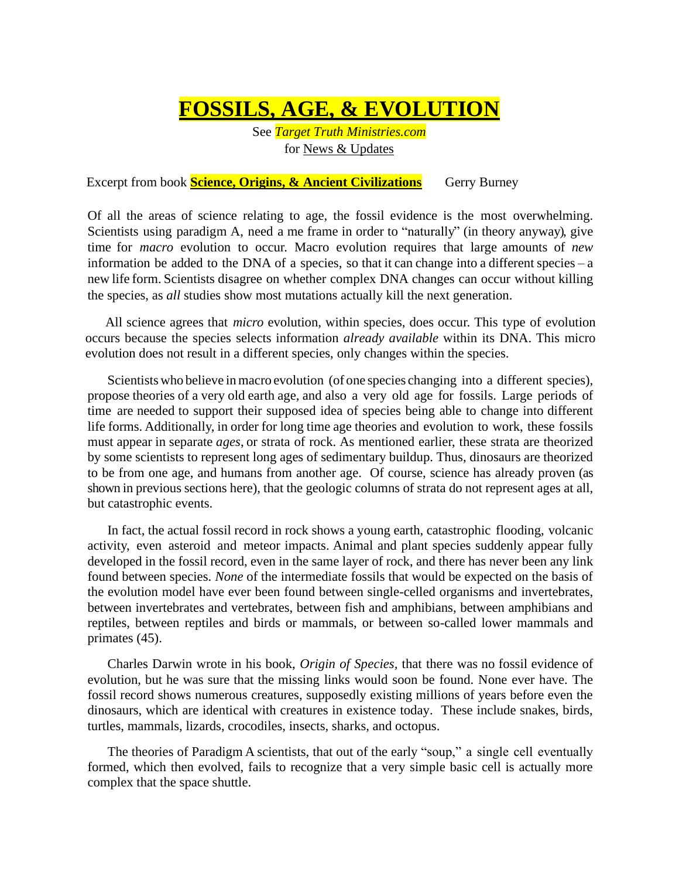**FOSSILS, AGE, & EVOLUTION**

See *Target Truth Ministries.com* for News & Updates

Excerpt from book **Science, Origins, & Ancient Civilizations** Gerry Burney

Of all the areas of science relating to age, the fossil evidence is the most overwhelming. Scientists using paradigm A, need a me frame in order to "naturally" (in theory anyway), give time for *macro* evolution to occur. Macro evolution requires that large amounts of *new* information be added to the DNA of a species, so that it can change into a different species – a new life form. Scientists disagree on whether complex DNA changes can occur without killing the species, as *all* studies show most mutations actually kill the next generation.

All science agrees that *micro* evolution, within species, does occur. This type of evolution occurs because the species selects information *already available* within its DNA. This micro evolution does not result in a different species, only changes within the species.

 Scientists who believe inmacro evolution (of one species changing into a different species), propose theories of a very old earth age, and also a very old age for fossils. Large periods of time are needed to support their supposed idea of species being able to change into different life forms. Additionally, in order for long time age theories and evolution to work, these fossils must appear in separate *ages*, or strata of rock. As mentioned earlier, these strata are theorized by some scientists to represent long ages of sedimentary buildup. Thus, dinosaurs are theorized to be from one age, and humans from another age. Of course, science has already proven (as shown in previous sections here), that the geologic columns of strata do not represent ages at all, but catastrophic events.

In fact, the actual fossil record in rock shows a young earth, catastrophic flooding, volcanic activity, even asteroid and meteor impacts. Animal and plant species suddenly appear fully developed in the fossil record, even in the same layer of rock, and there has never been any link found between species. *None* of the intermediate fossils that would be expected on the basis of the evolution model have ever been found between single-celled organisms and invertebrates, between invertebrates and vertebrates, between fish and amphibians, between amphibians and reptiles, between reptiles and birds or mammals, or between so-called lower mammals and primates (45).

Charles Darwin wrote in his book, *Origin of Species,* that there was no fossil evidence of evolution, but he was sure that the missing links would soon be found. None ever have. The fossil record shows numerous creatures, supposedly existing millions of years before even the dinosaurs, which are identical with creatures in existence today. These include snakes, birds, turtles, mammals, lizards, crocodiles, insects, sharks, and octopus.

The theories of Paradigm A scientists, that out of the early "soup," a single cell eventually formed, which then evolved, fails to recognize that a very simple basic cell is actually more complex that the space shuttle.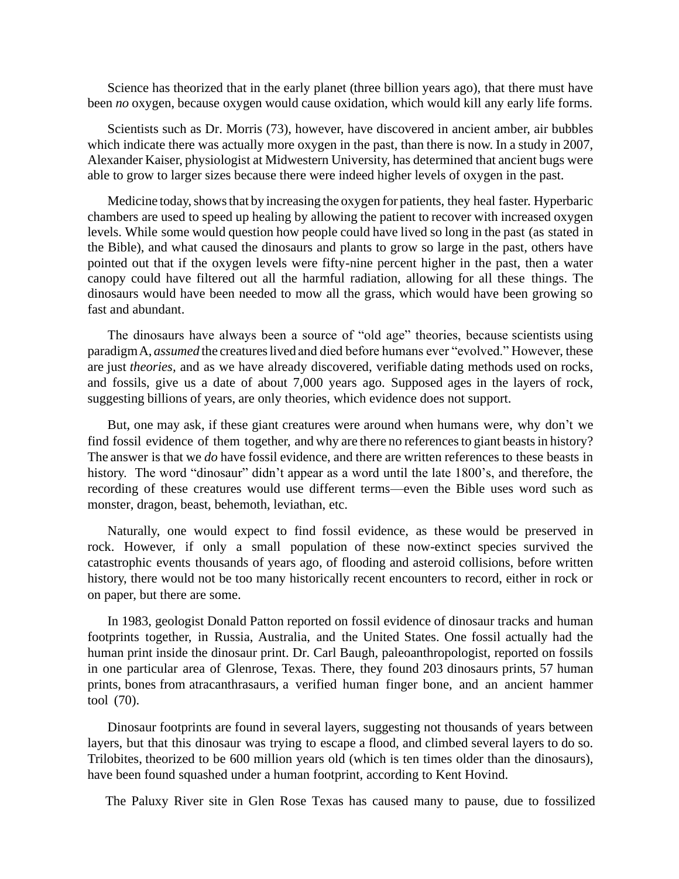Science has theorized that in the early planet (three billion years ago), that there must have been *no* oxygen, because oxygen would cause oxidation, which would kill any early life forms.

Scientists such as Dr. Morris (73), however, have discovered in ancient amber, air bubbles which indicate there was actually more oxygen in the past, than there is now. In a study in 2007, Alexander Kaiser, physiologist at Midwestern University, has determined that ancient bugs were able to grow to larger sizes because there were indeed higher levels of oxygen in the past.

Medicine today, shows that by increasing the oxygen for patients, they heal faster. Hyperbaric chambers are used to speed up healing by allowing the patient to recover with increased oxygen levels. While some would question how people could have lived so long in the past (as stated in the Bible), and what caused the dinosaurs and plants to grow so large in the past, others have pointed out that if the oxygen levels were fifty-nine percent higher in the past, then a water canopy could have filtered out all the harmful radiation, allowing for all these things. The dinosaurs would have been needed to mow all the grass, which would have been growing so fast and abundant.

The dinosaurs have always been a source of "old age" theories, because scientists using paradigm A, *assumed* the creatures lived and died before humans ever "evolved." However, these are just *theories,* and as we have already discovered, verifiable dating methods used on rocks, and fossils, give us a date of about 7,000 years ago. Supposed ages in the layers of rock, suggesting billions of years, are only theories, which evidence does not support.

But, one may ask, if these giant creatures were around when humans were, why don't we find fossil evidence of them together, and why are there no references to giant beasts in history? The answer is that we *do* have fossil evidence, and there are written references to these beasts in history. The word "dinosaur" didn't appear as a word until the late 1800's, and therefore, the recording of these creatures would use different terms—even the Bible uses word such as monster, dragon, beast, behemoth, leviathan, etc.

Naturally, one would expect to find fossil evidence, as these would be preserved in rock. However, if only a small population of these now-extinct species survived the catastrophic events thousands of years ago, of flooding and asteroid collisions, before written history, there would not be too many historically recent encounters to record, either in rock or on paper, but there are some.

In 1983, geologist Donald Patton reported on fossil evidence of dinosaur tracks and human footprints together, in Russia, Australia, and the United States. One fossil actually had the human print inside the dinosaur print. Dr. Carl Baugh, paleoanthropologist, reported on fossils in one particular area of Glenrose, Texas. There, they found 203 dinosaurs prints, 57 human prints, bones from atracanthrasaurs, a verified human finger bone, and an ancient hammer tool (70).

Dinosaur footprints are found in several layers, suggesting not thousands of years between layers, but that this dinosaur was trying to escape a flood, and climbed several layers to do so. Trilobites, theorized to be 600 million years old (which is ten times older than the dinosaurs), have been found squashed under a human footprint, according to Kent Hovind.

The Paluxy River site in Glen Rose Texas has caused many to pause, due to fossilized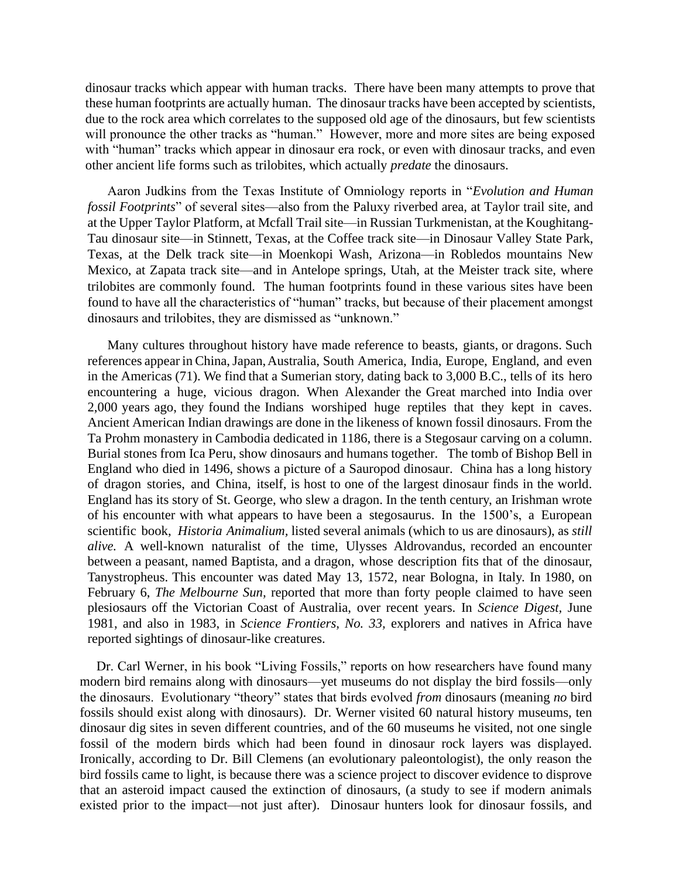dinosaur tracks which appear with human tracks. There have been many attempts to prove that these human footprints are actually human. The dinosaur tracks have been accepted by scientists, due to the rock area which correlates to the supposed old age of the dinosaurs, but few scientists will pronounce the other tracks as "human." However, more and more sites are being exposed with "human" tracks which appear in dinosaur era rock, or even with dinosaur tracks, and even other ancient life forms such as trilobites, which actually *predate* the dinosaurs.

Aaron Judkins from the Texas Institute of Omniology reports in "*Evolution and Human fossil Footprints*" of several sites—also from the Paluxy riverbed area, at Taylor trail site, and at the Upper Taylor Platform, at Mcfall Trail site—in Russian Turkmenistan, at the Koughitang-Tau dinosaur site—in Stinnett, Texas, at the Coffee track site—in Dinosaur Valley State Park, Texas, at the Delk track site—in Moenkopi Wash, Arizona—in Robledos mountains New Mexico, at Zapata track site—and in Antelope springs, Utah, at the Meister track site, where trilobites are commonly found. The human footprints found in these various sites have been found to have all the characteristics of "human" tracks, but because of their placement amongst dinosaurs and trilobites, they are dismissed as "unknown."

Many cultures throughout history have made reference to beasts, giants, or dragons. Such references appear in China,Japan,Australia, South America, India, Europe, England, and even in the Americas (71). We find that a Sumerian story, dating back to 3,000 B.C., tells of its hero encountering a huge, vicious dragon. When Alexander the Great marched into India over 2,000 years ago, they found the Indians worshiped huge reptiles that they kept in caves. Ancient American Indian drawings are done in the likeness of known fossil dinosaurs. From the Ta Prohm monastery in Cambodia dedicated in 1186, there is a Stegosaur carving on a column. Burial stones from Ica Peru, show dinosaurs and humans together. The tomb of Bishop Bell in England who died in 1496, shows a picture of a Sauropod dinosaur. China has a long history of dragon stories, and China, itself, is host to one of the largest dinosaur finds in the world. England has its story of St. George, who slew a dragon. In the tenth century, an Irishman wrote of his encounter with what appears to have been a stegosaurus. In the 1500's, a European scientific book, *Historia Animalium,* listed several animals (which to us are dinosaurs), as *still alive.* A well-known naturalist of the time, Ulysses Aldrovandus, recorded an encounter between a peasant, named Baptista, and a dragon, whose description fits that of the dinosaur, Tanystropheus. This encounter was dated May 13, 1572, near Bologna, in Italy. In 1980, on February 6, *The Melbourne Sun,* reported that more than forty people claimed to have seen plesiosaurs off the Victorian Coast of Australia, over recent years. In *Science Digest,* June 1981, and also in 1983, in *Science Frontiers, No. 33,* explorers and natives in Africa have reported sightings of dinosaur-like creatures.

 Dr. Carl Werner, in his book "Living Fossils," reports on how researchers have found many modern bird remains along with dinosaurs—yet museums do not display the bird fossils—only the dinosaurs. Evolutionary "theory" states that birds evolved *from* dinosaurs (meaning *no* bird fossils should exist along with dinosaurs). Dr. Werner visited 60 natural history museums, ten dinosaur dig sites in seven different countries, and of the 60 museums he visited, not one single fossil of the modern birds which had been found in dinosaur rock layers was displayed. Ironically, according to Dr. Bill Clemens (an evolutionary paleontologist), the only reason the bird fossils came to light, is because there was a science project to discover evidence to disprove that an asteroid impact caused the extinction of dinosaurs, (a study to see if modern animals existed prior to the impact—not just after). Dinosaur hunters look for dinosaur fossils, and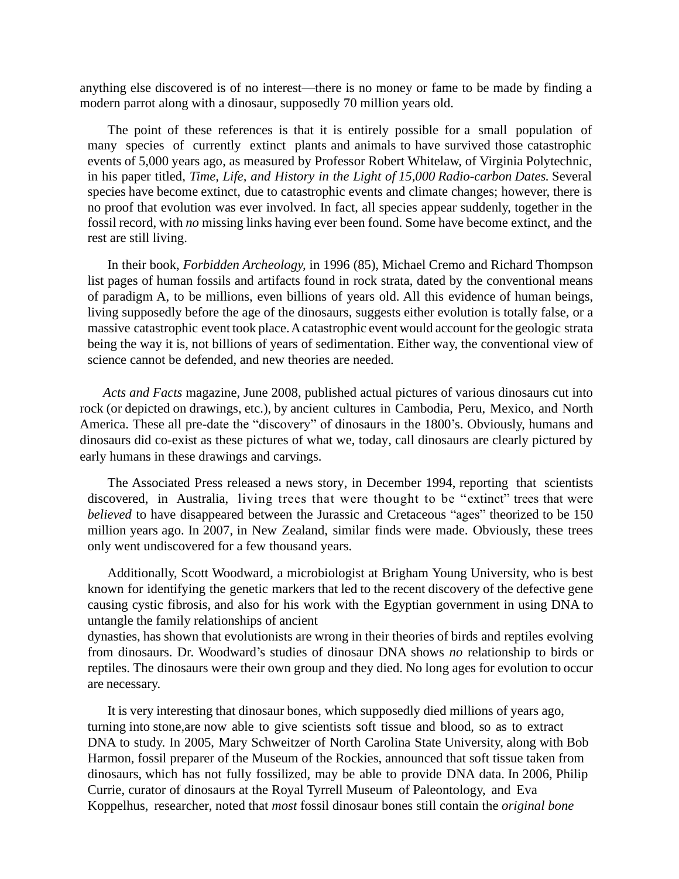anything else discovered is of no interest—there is no money or fame to be made by finding a modern parrot along with a dinosaur, supposedly 70 million years old.

The point of these references is that it is entirely possible for a small population of many species of currently extinct plants and animals to have survived those catastrophic events of 5,000 years ago, as measured by Professor Robert Whitelaw, of Virginia Polytechnic, in his paper titled, *Time, Life, and History in the Light of 15,000 Radio-carbon Dates.* Several species have become extinct, due to catastrophic events and climate changes; however, there is no proof that evolution was ever involved. In fact, all species appear suddenly, together in the fossil record, with *no* missing links having ever been found. Some have become extinct, and the rest are still living.

 In their book, *Forbidden Archeology,* in 1996 (85), Michael Cremo and Richard Thompson list pages of human fossils and artifacts found in rock strata, dated by the conventional means of paradigm A, to be millions, even billions of years old. All this evidence of human beings, living supposedly before the age of the dinosaurs, suggests either evolution is totally false, or a massive catastrophic event took place.Acatastrophic event would account for the geologic strata being the way it is, not billions of years of sedimentation. Either way, the conventional view of science cannot be defended, and new theories are needed.

 *Acts and Facts* magazine, June 2008, published actual pictures of various dinosaurs cut into rock (or depicted on drawings, etc.), by ancient cultures in Cambodia, Peru, Mexico, and North America. These all pre-date the "discovery" of dinosaurs in the 1800's. Obviously, humans and dinosaurs did co-exist as these pictures of what we, today, call dinosaurs are clearly pictured by early humans in these drawings and carvings.

The Associated Press released a news story, in December 1994, reporting that scientists discovered, in Australia, living trees that were thought to be "extinct" trees that were *believed* to have disappeared between the Jurassic and Cretaceous "ages" theorized to be 150 million years ago. In 2007, in New Zealand, similar finds were made. Obviously, these trees only went undiscovered for a few thousand years.

Additionally, Scott Woodward, a microbiologist at Brigham Young University, who is best known for identifying the genetic markers that led to the recent discovery of the defective gene causing cystic fibrosis, and also for his work with the Egyptian government in using DNA to untangle the family relationships of ancient

dynasties, has shown that evolutionists are wrong in their theories of birds and reptiles evolving from dinosaurs. Dr. Woodward's studies of dinosaur DNA shows *no* relationship to birds or reptiles. The dinosaurs were their own group and they died. No long ages for evolution to occur are necessary.

It is very interesting that dinosaur bones, which supposedly died millions of years ago, turning into stone,are now able to give scientists soft tissue and blood, so as to extract DNA to study. In 2005, Mary Schweitzer of North Carolina State University, along with Bob Harmon, fossil preparer of the Museum of the Rockies, announced that soft tissue taken from dinosaurs, which has not fully fossilized, may be able to provide DNA data. In 2006, Philip Currie, curator of dinosaurs at the Royal Tyrrell Museum of Paleontology, and Eva Koppelhus, researcher, noted that *most* fossil dinosaur bones still contain the *original bone*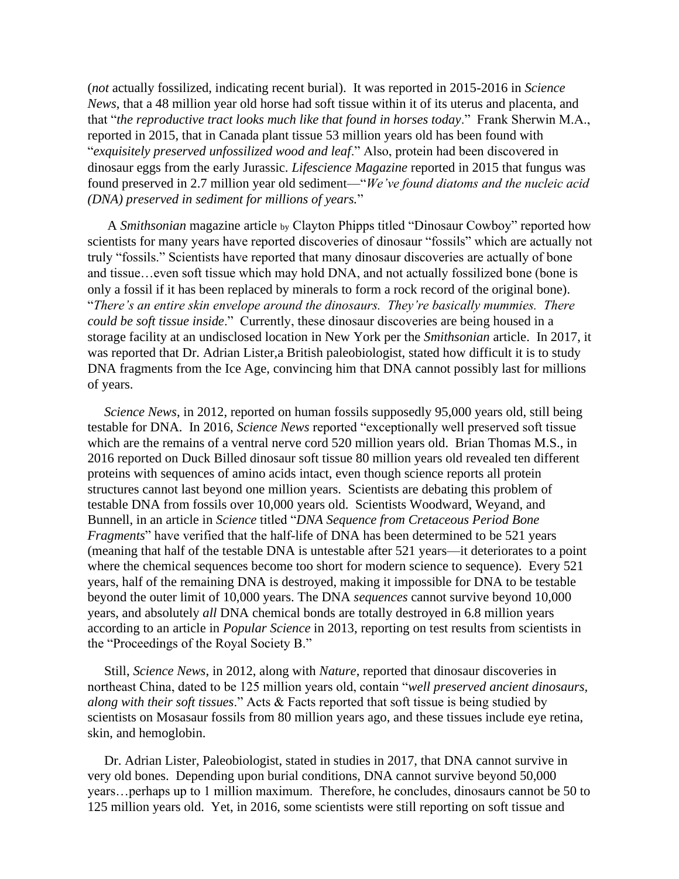(*not* actually fossilized, indicating recent burial). It was reported in 2015-2016 in *Science News*, that a 48 million year old horse had soft tissue within it of its uterus and placenta, and that "*the reproductive tract looks much like that found in horses today*." Frank Sherwin M.A., reported in 2015, that in Canada plant tissue 53 million years old has been found with "*exquisitely preserved unfossilized wood and leaf*." Also, protein had been discovered in dinosaur eggs from the early Jurassic. *Lifescience Magazine* reported in 2015 that fungus was found preserved in 2.7 million year old sediment—"*We've found diatoms and the nucleic acid (DNA) preserved in sediment for millions of years.*"

A *Smithsonian* magazine article by Clayton Phipps titled "Dinosaur Cowboy" reported how scientists for many years have reported discoveries of dinosaur "fossils" which are actually not truly "fossils." Scientists have reported that many dinosaur discoveries are actually of bone and tissue…even soft tissue which may hold DNA, and not actually fossilized bone (bone is only a fossil if it has been replaced by minerals to form a rock record of the original bone). "*There's an entire skin envelope around the dinosaurs. They're basically mummies. There could be soft tissue inside*." Currently, these dinosaur discoveries are being housed in a storage facility at an undisclosed location in New York per the *Smithsonian* article. In 2017, it was reported that Dr. Adrian Lister,a British paleobiologist, stated how difficult it is to study DNA fragments from the Ice Age, convincing him that DNA cannot possibly last for millions of years.

 *Science News*, in 2012, reported on human fossils supposedly 95,000 years old, still being testable for DNA. In 2016, *Science News* reported "exceptionally well preserved soft tissue which are the remains of a ventral nerve cord 520 million years old. Brian Thomas M.S., in 2016 reported on Duck Billed dinosaur soft tissue 80 million years old revealed ten different proteins with sequences of amino acids intact, even though science reports all protein structures cannot last beyond one million years. Scientists are debating this problem of testable DNA from fossils over 10,000 years old. Scientists Woodward, Weyand, and Bunnell, in an article in *Science* titled "*DNA Sequence from Cretaceous Period Bone Fragments*" have verified that the half-life of DNA has been determined to be 521 years (meaning that half of the testable DNA is untestable after 521 years—it deteriorates to a point where the chemical sequences become too short for modern science to sequence). Every 521 years, half of the remaining DNA is destroyed, making it impossible for DNA to be testable beyond the outer limit of 10,000 years. The DNA *sequences* cannot survive beyond 10,000 years, and absolutely *all* DNA chemical bonds are totally destroyed in 6.8 million years according to an article in *Popular Science* in 2013, reporting on test results from scientists in the "Proceedings of the Royal Society B."

 Still, *Science News*, in 2012, along with *Nature*, reported that dinosaur discoveries in northeast China, dated to be 125 million years old, contain "*well preserved ancient dinosaurs, along with their soft tissues*." Acts & Facts reported that soft tissue is being studied by scientists on Mosasaur fossils from 80 million years ago, and these tissues include eye retina, skin, and hemoglobin.

 Dr. Adrian Lister, Paleobiologist, stated in studies in 2017, that DNA cannot survive in very old bones. Depending upon burial conditions, DNA cannot survive beyond 50,000 years…perhaps up to 1 million maximum. Therefore, he concludes, dinosaurs cannot be 50 to 125 million years old. Yet, in 2016, some scientists were still reporting on soft tissue and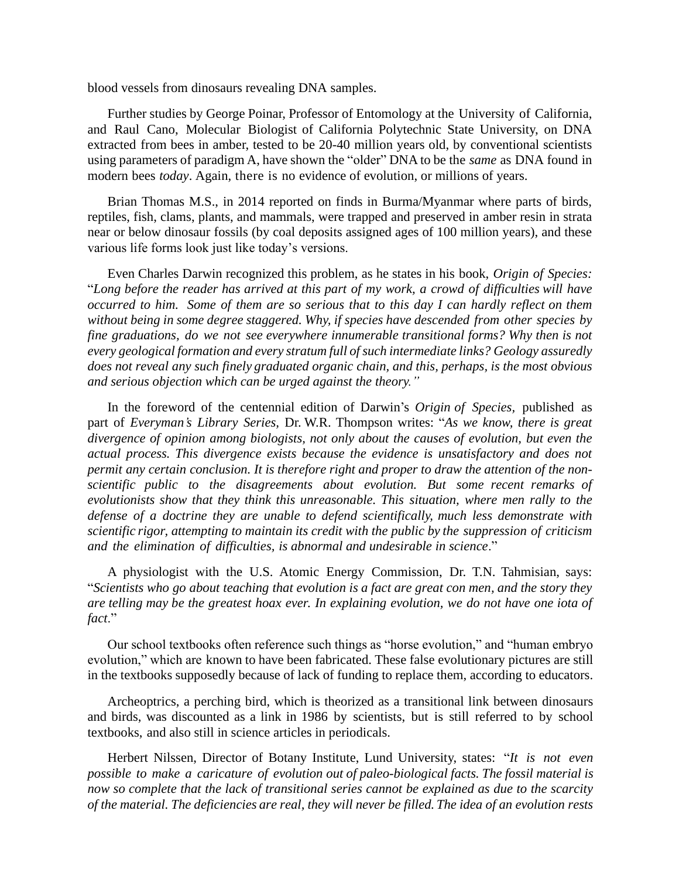blood vessels from dinosaurs revealing DNA samples.

Further studies by George Poinar, Professor of Entomology at the University of California, and Raul Cano, Molecular Biologist of California Polytechnic State University, on DNA extracted from bees in amber, tested to be 20-40 million years old, by conventional scientists using parameters of paradigm A, have shown the "older" DNA to be the *same* as DNA found in modern bees *today*. Again, there is no evidence of evolution, or millions of years.

Brian Thomas M.S., in 2014 reported on finds in Burma/Myanmar where parts of birds, reptiles, fish, clams, plants, and mammals, were trapped and preserved in amber resin in strata near or below dinosaur fossils (by coal deposits assigned ages of 100 million years), and these various life forms look just like today's versions.

Even Charles Darwin recognized this problem, as he states in his book, *Origin of Species:*  "*Long before the reader has arrived at this part of my work, a crowd of difficulties will have occurred to him. Some of them are so serious that to this day I can hardly reflect on them without being in some degree staggered. Why, if species have descended from other species by fine graduations, do we not see everywhere innumerable transitional forms? Why then is not every geological formation and every stratum full of such intermediate links? Geology assuredly does not reveal any such finely graduated organic chain, and this, perhaps, is the most obvious and serious objection which can be urged against the theory."*

In the foreword of the centennial edition of Darwin's *Origin of Species,* published as part of *Everyman's Library Series,* Dr. W.R. Thompson writes: "*As we know, there is great divergence of opinion among biologists, not only about the causes of evolution, but even the actual process. This divergence exists because the evidence is unsatisfactory and does not permit any certain conclusion. It is therefore right and proper to draw the attention of the nonscientific public to the disagreements about evolution. But some recent remarks of evolutionists show that they think this unreasonable. This situation, where men rally to the defense of a doctrine they are unable to defend scientifically, much less demonstrate with scientific rigor, attempting to maintain its credit with the public by the suppression of criticism and the elimination of difficulties, is abnormal and undesirable in science*."

A physiologist with the U.S. Atomic Energy Commission, Dr. T.N. Tahmisian, says: "*Scientists who go about teaching that evolution is a fact are great con men, and the story they are telling may be the greatest hoax ever. In explaining evolution, we do not have one iota of fact*."

Our school textbooks often reference such things as "horse evolution," and "human embryo evolution," which are known to have been fabricated. These false evolutionary pictures are still in the textbooks supposedly because of lack of funding to replace them, according to educators.

Archeoptrics, a perching bird, which is theorized as a transitional link between dinosaurs and birds, was discounted as a link in 1986 by scientists, but is still referred to by school textbooks, and also still in science articles in periodicals.

Herbert Nilssen, Director of Botany Institute, Lund University, states: "*It is not even possible to make a caricature of evolution out of paleo-biological facts. The fossil material is now so complete that the lack of transitional series cannot be explained as due to the scarcity of the material. The deficiencies are real, they will never be filled. The idea of an evolution rests*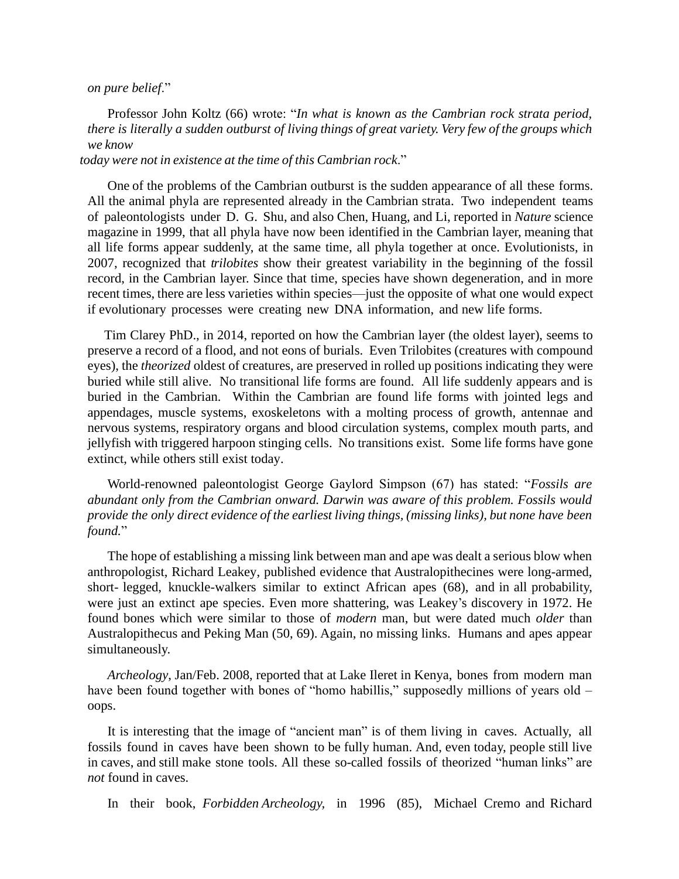## *on pure belief*."

Professor John Koltz (66) wrote: "*In what is known as the Cambrian rock strata period, there is literally a sudden outburst of living things of great variety. Very few of the groups which we know* 

## *today were not in existence at the time of this Cambrian rock*."

 One of the problems of the Cambrian outburst is the sudden appearance of all these forms. All the animal phyla are represented already in the Cambrian strata. Two independent teams of paleontologists under D. G. Shu, and also Chen, Huang, and Li, reported in *Nature* science magazine in 1999, that all phyla have now been identified in the Cambrian layer, meaning that all life forms appear suddenly, at the same time, all phyla together at once. Evolutionists, in 2007, recognized that *trilobites* show their greatest variability in the beginning of the fossil record, in the Cambrian layer. Since that time, species have shown degeneration, and in more recent times, there are less varieties within species—just the opposite of what one would expect if evolutionary processes were creating new DNA information, and new life forms.

 Tim Clarey PhD., in 2014, reported on how the Cambrian layer (the oldest layer), seems to preserve a record of a flood, and not eons of burials. Even Trilobites (creatures with compound eyes), the *theorized* oldest of creatures, are preserved in rolled up positions indicating they were buried while still alive. No transitional life forms are found. All life suddenly appears and is buried in the Cambrian. Within the Cambrian are found life forms with jointed legs and appendages, muscle systems, exoskeletons with a molting process of growth, antennae and nervous systems, respiratory organs and blood circulation systems, complex mouth parts, and jellyfish with triggered harpoon stinging cells. No transitions exist. Some life forms have gone extinct, while others still exist today.

World-renowned paleontologist George Gaylord Simpson (67) has stated: "*Fossils are abundant only from the Cambrian onward. Darwin was aware of this problem. Fossils would provide the only direct evidence of the earliest living things, (missing links), but none have been found.*"

The hope of establishing a missing link between man and ape was dealt a serious blow when anthropologist, Richard Leakey, published evidence that Australopithecines were long-armed, short- legged, knuckle-walkers similar to extinct African apes (68), and in all probability, were just an extinct ape species. Even more shattering, was Leakey's discovery in 1972. He found bones which were similar to those of *modern* man, but were dated much *older* than Australopithecus and Peking Man (50, 69). Again, no missing links. Humans and apes appear simultaneously.

*Archeology*, Jan/Feb. 2008, reported that at Lake Ileret in Kenya, bones from modern man have been found together with bones of "homo habillis," supposedly millions of years old – oops.

It is interesting that the image of "ancient man" is of them living in caves. Actually, all fossils found in caves have been shown to be fully human. And, even today, people still live in caves, and still make stone tools. All these so-called fossils of theorized "human links" are *not* found in caves.

In their book, *Forbidden Archeology,* in 1996 (85), Michael Cremo and Richard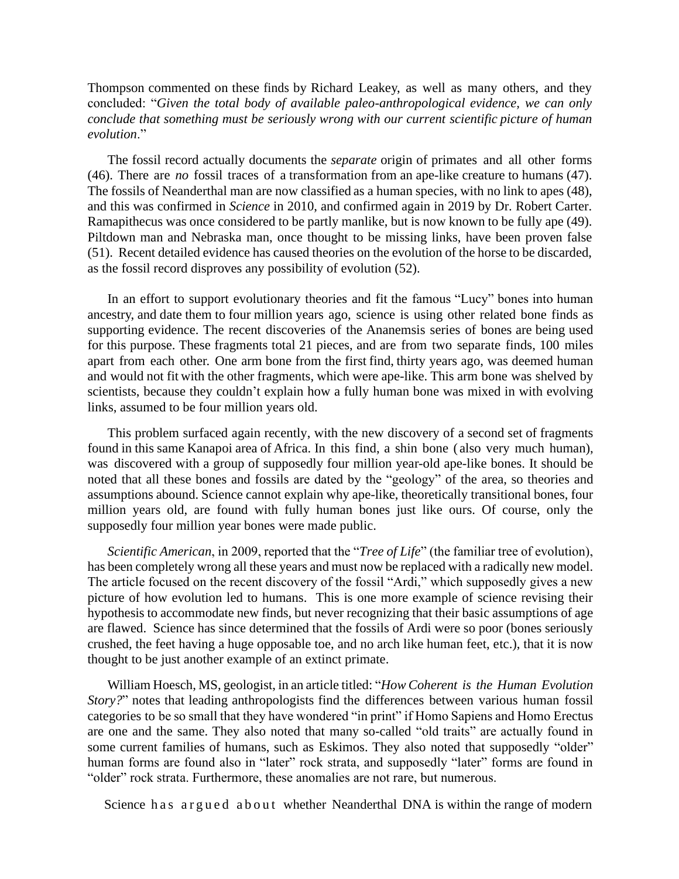Thompson commented on these finds by Richard Leakey, as well as many others, and they concluded: "*Given the total body of available paleo-anthropological evidence, we can only conclude that something must be seriously wrong with our current scientific picture of human evolution*."

The fossil record actually documents the *separate* origin of primates and all other forms (46). There are *no* fossil traces of a transformation from an ape-like creature to humans (47). The fossils of Neanderthal man are now classified as a human species, with no link to apes (48), and this was confirmed in *Science* in 2010, and confirmed again in 2019 by Dr. Robert Carter. Ramapithecus was once considered to be partly manlike, but is now known to be fully ape (49). Piltdown man and Nebraska man, once thought to be missing links, have been proven false (51). Recent detailed evidence has caused theories on the evolution of the horse to be discarded, as the fossil record disproves any possibility of evolution (52).

In an effort to support evolutionary theories and fit the famous "Lucy" bones into human ancestry, and date them to four million years ago, science is using other related bone finds as supporting evidence. The recent discoveries of the Ananemsis series of bones are being used for this purpose. These fragments total 21 pieces, and are from two separate finds, 100 miles apart from each other. One arm bone from the first find, thirty years ago, was deemed human and would not fit with the other fragments, which were ape-like. This arm bone was shelved by scientists, because they couldn't explain how a fully human bone was mixed in with evolving links, assumed to be four million years old.

This problem surfaced again recently, with the new discovery of a second set of fragments found in this same Kanapoi area of Africa. In this find, a shin bone ( also very much human), was discovered with a group of supposedly four million year-old ape-like bones. It should be noted that all these bones and fossils are dated by the "geology" of the area, so theories and assumptions abound. Science cannot explain why ape-like, theoretically transitional bones, four million years old, are found with fully human bones just like ours. Of course, only the supposedly four million year bones were made public.

 *Scientific American*, in 2009, reported that the "*Tree of Life*" (the familiar tree of evolution), has been completely wrong all these years and must now be replaced with a radically new model. The article focused on the recent discovery of the fossil "Ardi," which supposedly gives a new picture of how evolution led to humans. This is one more example of science revising their hypothesis to accommodate new finds, but never recognizing that their basic assumptions of age are flawed. Science has since determined that the fossils of Ardi were so poor (bones seriously crushed, the feet having a huge opposable toe, and no arch like human feet, etc.), that it is now thought to be just another example of an extinct primate.

William Hoesch, MS, geologist, in an article titled: "*How Coherent is the Human Evolution Story?*" notes that leading anthropologists find the differences between various human fossil categories to be so small that they have wondered "in print" if Homo Sapiens and Homo Erectus are one and the same. They also noted that many so-called "old traits" are actually found in some current families of humans, such as Eskimos. They also noted that supposedly "older" human forms are found also in "later" rock strata, and supposedly "later" forms are found in "older" rock strata. Furthermore, these anomalies are not rare, but numerous.

Science has argued about whether Neanderthal DNA is within the range of modern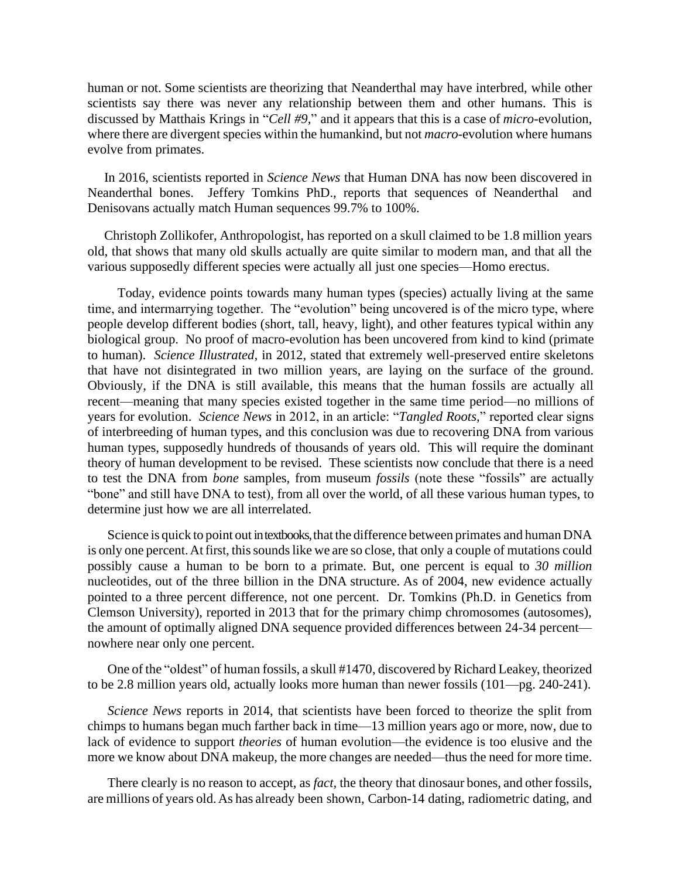human or not. Some scientists are theorizing that Neanderthal may have interbred, while other scientists say there was never any relationship between them and other humans. This is discussed by Matthais Krings in "*Cell #9,*" and it appears that this is a case of *micro*-evolution, where there are divergent species within the humankind, but not *macro*-evolution where humans evolve from primates.

 In 2016, scientists reported in *Science News* that Human DNA has now been discovered in Neanderthal bones. Jeffery Tomkins PhD., reports that sequences of Neanderthal and Denisovans actually match Human sequences 99.7% to 100%.

 Christoph Zollikofer, Anthropologist, has reported on a skull claimed to be 1.8 million years old, that shows that many old skulls actually are quite similar to modern man, and that all the various supposedly different species were actually all just one species—Homo erectus.

 Today, evidence points towards many human types (species) actually living at the same time, and intermarrying together. The "evolution" being uncovered is of the micro type, where people develop different bodies (short, tall, heavy, light), and other features typical within any biological group. No proof of macro-evolution has been uncovered from kind to kind (primate to human). *Science Illustrated,* in 2012, stated that extremely well-preserved entire skeletons that have not disintegrated in two million years, are laying on the surface of the ground. Obviously, if the DNA is still available, this means that the human fossils are actually all recent—meaning that many species existed together in the same time period—no millions of years for evolution. *Science News* in 2012, in an article: "*Tangled Roots,*" reported clear signs of interbreeding of human types, and this conclusion was due to recovering DNA from various human types, supposedly hundreds of thousands of years old. This will require the dominant theory of human development to be revised. These scientists now conclude that there is a need to test the DNA from *bone* samples, from museum *fossils* (note these "fossils" are actually "bone" and still have DNA to test)*,* from all over the world, of all these various human types, to determine just how we are all interrelated.

Science is quick to point out in textbooks, that the difference between primates and human DNA is only one percent. At first, this sounds like we are so close, that only a couple of mutations could possibly cause a human to be born to a primate. But, one percent is equal to *30 million* nucleotides, out of the three billion in the DNA structure. As of 2004, new evidence actually pointed to a three percent difference, not one percent. Dr. Tomkins (Ph.D. in Genetics from Clemson University), reported in 2013 that for the primary chimp chromosomes (autosomes), the amount of optimally aligned DNA sequence provided differences between 24-34 percent nowhere near only one percent.

One of the "oldest" of human fossils, a skull #1470, discovered by Richard Leakey, theorized to be 2.8 million years old, actually looks more human than newer fossils (101—pg. 240-241).

*Science News* reports in 2014, that scientists have been forced to theorize the split from chimps to humans began much farther back in time—13 million years ago or more, now, due to lack of evidence to support *theories* of human evolution—the evidence is too elusive and the more we know about DNA makeup, the more changes are needed—thus the need for more time.

There clearly is no reason to accept, as *fact,* the theory that dinosaur bones, and other fossils, are millions of years old.As has already been shown, Carbon-14 dating, radiometric dating, and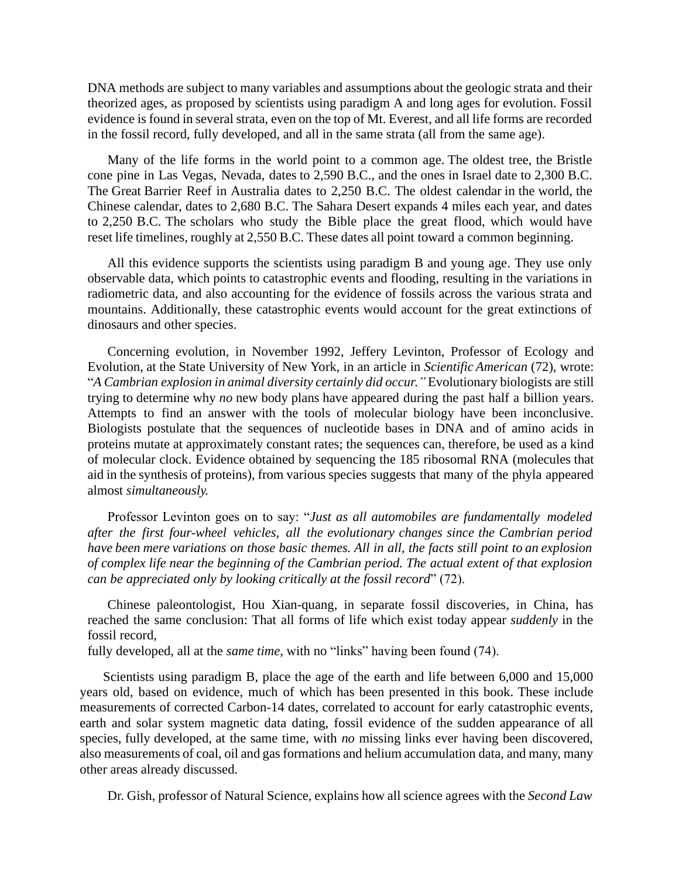DNA methods are subject to many variables and assumptions about the geologic strata and their theorized ages, as proposed by scientists using paradigm A and long ages for evolution. Fossil evidence is found in several strata, even on the top of Mt. Everest, and all life forms are recorded in the fossil record, fully developed, and all in the same strata (all from the same age).

Many of the life forms in the world point to a common age. The oldest tree, the Bristle cone pine in Las Vegas, Nevada, dates to 2,590 B.C., and the ones in Israel date to 2,300 B.C. The Great Barrier Reef in Australia dates to 2,250 B.C. The oldest calendar in the world, the Chinese calendar, dates to 2,680 B.C. The Sahara Desert expands 4 miles each year, and dates to 2,250 B.C. The scholars who study the Bible place the great flood, which would have reset life timelines, roughly at 2,550 B.C. These dates all point toward a common beginning.

All this evidence supports the scientists using paradigm B and young age. They use only observable data, which points to catastrophic events and flooding, resulting in the variations in radiometric data, and also accounting for the evidence of fossils across the various strata and mountains. Additionally, these catastrophic events would account for the great extinctions of dinosaurs and other species.

Concerning evolution, in November 1992, Jeffery Levinton, Professor of Ecology and Evolution, at the State University of New York, in an article in *Scientific American* (72), wrote: "*A Cambrian explosion in animal diversity certainly did occur."* Evolutionary biologists are still trying to determine why *no* new body plans have appeared during the past half a billion years. Attempts to find an answer with the tools of molecular biology have been inconclusive. Biologists postulate that the sequences of nucleotide bases in DNA and of amino acids in proteins mutate at approximately constant rates; the sequences can, therefore, be used as a kind of molecular clock. Evidence obtained by sequencing the 185 ribosomal RNA (molecules that aid in the synthesis of proteins), from various species suggests that many of the phyla appeared almost *simultaneously.*

Professor Levinton goes on to say: "*Just as all automobiles are fundamentally modeled after the first four-wheel vehicles, all the evolutionary changes since the Cambrian period have been mere variations on those basic themes. All in all, the facts still point to an explosion of complex life near the beginning of the Cambrian period. The actual extent of that explosion can be appreciated only by looking critically at the fossil record*" (72).

Chinese paleontologist, Hou Xian-quang, in separate fossil discoveries, in China, has reached the same conclusion: That all forms of life which exist today appear *suddenly* in the fossil record,

fully developed, all at the *same time*, with no "links" having been found (74).

 Scientists using paradigm B, place the age of the earth and life between 6,000 and 15,000 years old, based on evidence, much of which has been presented in this book. These include measurements of corrected Carbon-14 dates, correlated to account for early catastrophic events, earth and solar system magnetic data dating, fossil evidence of the sudden appearance of all species, fully developed, at the same time, with *no* missing links ever having been discovered, also measurements of coal, oil and gas formations and helium accumulation data, and many, many other areas already discussed.

Dr. Gish, professor of Natural Science, explains how all science agrees with the *Second Law*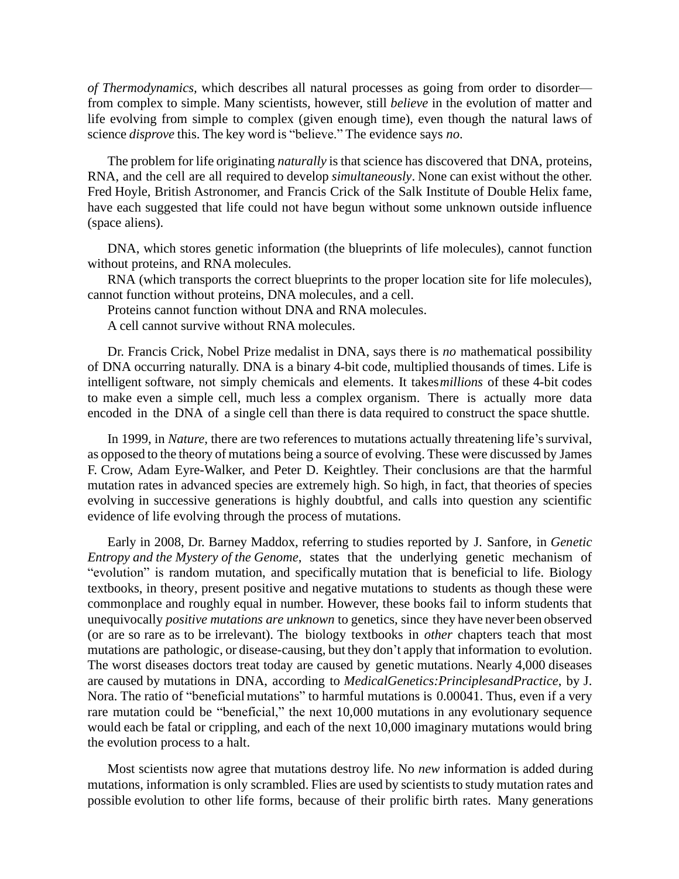*of Thermodynamics,* which describes all natural processes as going from order to disorder from complex to simple. Many scientists, however, still *believe* in the evolution of matter and life evolving from simple to complex (given enough time), even though the natural laws of science *disprove* this. The key word is "believe." The evidence says *no*.

The problem for life originating *naturally* is that science has discovered that DNA, proteins, RNA, and the cell are all required to develop *simultaneously*. None can exist without the other. Fred Hoyle, British Astronomer, and Francis Crick of the Salk Institute of Double Helix fame, have each suggested that life could not have begun without some unknown outside influence (space aliens).

DNA, which stores genetic information (the blueprints of life molecules), cannot function without proteins, and RNA molecules.

RNA (which transports the correct blueprints to the proper location site for life molecules), cannot function without proteins, DNA molecules, and a cell.

Proteins cannot function without DNA and RNA molecules.

A cell cannot survive without RNA molecules.

Dr. Francis Crick, Nobel Prize medalist in DNA, says there is *no* mathematical possibility of DNA occurring naturally. DNA is a binary 4-bit code, multiplied thousands of times. Life is intelligent software, not simply chemicals and elements. It takes*millions* of these 4-bit codes to make even a simple cell, much less a complex organism. There is actually more data encoded in the DNA of a single cell than there is data required to construct the space shuttle.

In 1999, in *Nature*, there are two references to mutations actually threatening life's survival, as opposed to the theory of mutations being a source of evolving. These were discussed by James F. Crow, Adam Eyre-Walker, and Peter D. Keightley. Their conclusions are that the harmful mutation rates in advanced species are extremely high. So high, in fact, that theories of species evolving in successive generations is highly doubtful, and calls into question any scientific evidence of life evolving through the process of mutations.

Early in 2008, Dr. Barney Maddox, referring to studies reported by J. Sanfore, in *Genetic Entropy and the Mystery of the Genome*, states that the underlying genetic mechanism of "evolution" is random mutation, and specifically mutation that is beneficial to life. Biology textbooks, in theory, present positive and negative mutations to students as though these were commonplace and roughly equal in number. However, these books fail to inform students that unequivocally *positive mutations are unknown* to genetics, since they have never been observed (or are so rare as to be irrelevant). The biology textbooks in *other* chapters teach that most mutations are pathologic, or disease-causing, but they don't apply that information to evolution. The worst diseases doctors treat today are caused by genetic mutations. Nearly 4,000 diseases are caused by mutations in DNA, according to *MedicalGenetics:PrinciplesandPractice*, by J. Nora. The ratio of "beneficial mutations" to harmful mutations is 0.00041. Thus, even if a very rare mutation could be "beneficial," the next 10,000 mutations in any evolutionary sequence would each be fatal or crippling, and each of the next 10,000 imaginary mutations would bring the evolution process to a halt.

Most scientists now agree that mutations destroy life. No *new* information is added during mutations, information is only scrambled. Flies are used by scientists to study mutation rates and possible evolution to other life forms, because of their prolific birth rates. Many generations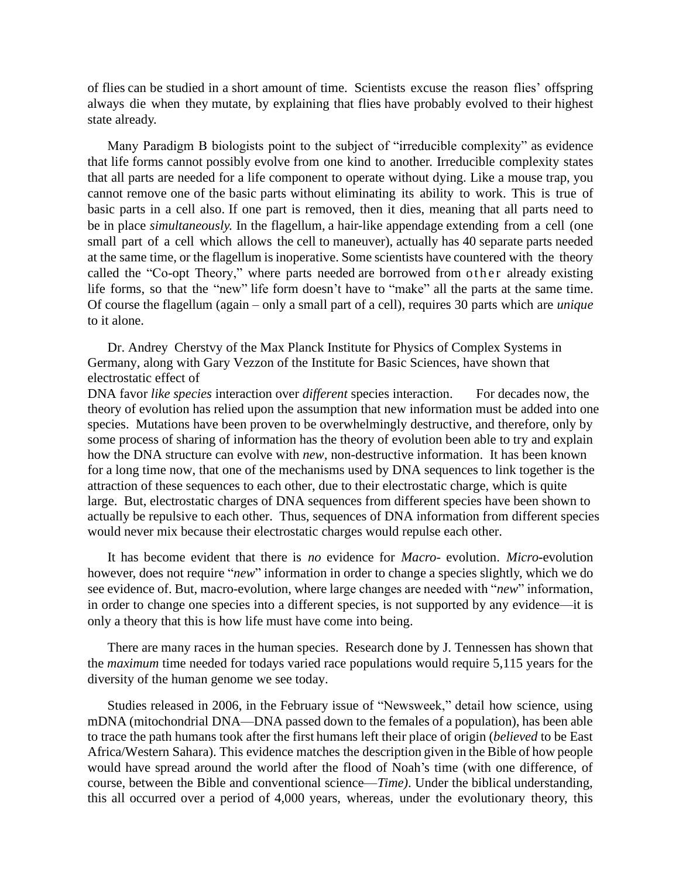of flies can be studied in a short amount of time. Scientists excuse the reason flies' offspring always die when they mutate, by explaining that flies have probably evolved to their highest state already.

Many Paradigm B biologists point to the subject of "irreducible complexity" as evidence that life forms cannot possibly evolve from one kind to another. Irreducible complexity states that all parts are needed for a life component to operate without dying. Like a mouse trap, you cannot remove one of the basic parts without eliminating its ability to work. This is true of basic parts in a cell also. If one part is removed, then it dies, meaning that all parts need to be in place *simultaneously*. In the flagellum, a hair-like appendage extending from a cell (one small part of a cell which allows the cell to maneuver), actually has 40 separate parts needed at the same time, or the flagellum is inoperative. Some scientists have countered with the theory called the "Co-opt Theory," where parts needed are borrowed from o the r already existing life forms, so that the "new" life form doesn't have to "make" all the parts at the same time. Of course the flagellum (again – only a small part of a cell), requires 30 parts which are *unique* to it alone.

 Dr. Andrey Cherstvy of the Max Planck Institute for Physics of Complex Systems in Germany, along with Gary Vezzon of the Institute for Basic Sciences, have shown that electrostatic effect of

DNA favor *like species* interaction over *different* species interaction. For decades now, the theory of evolution has relied upon the assumption that new information must be added into one species. Mutations have been proven to be overwhelmingly destructive, and therefore, only by some process of sharing of information has the theory of evolution been able to try and explain how the DNA structure can evolve with *new,* non-destructive information. It has been known for a long time now, that one of the mechanisms used by DNA sequences to link together is the attraction of these sequences to each other, due to their electrostatic charge, which is quite large. But, electrostatic charges of DNA sequences from different species have been shown to actually be repulsive to each other. Thus, sequences of DNA information from different species would never mix because their electrostatic charges would repulse each other.

It has become evident that there is *no* evidence for *Macro-* evolution. *Micro***-**evolution however, does not require "*new*" information in order to change a species slightly, which we do see evidence of. But, macro-evolution, where large changes are needed with "*new*" information, in order to change one species into a different species, is not supported by any evidence—it is only a theory that this is how life must have come into being.

There are many races in the human species. Research done by J. Tennessen has shown that the *maximum* time needed for todays varied race populations would require 5,115 years for the diversity of the human genome we see today.

Studies released in 2006, in the February issue of "Newsweek," detail how science, using mDNA (mitochondrial DNA—DNA passed down to the females of a population), has been able to trace the path humans took after the first humans left their place of origin (*believed* to be East Africa/Western Sahara). This evidence matches the description given in the Bible of how people would have spread around the world after the flood of Noah's time (with one difference, of course, between the Bible and conventional science—*Time)*. Under the biblical understanding, this all occurred over a period of 4,000 years, whereas, under the evolutionary theory, this